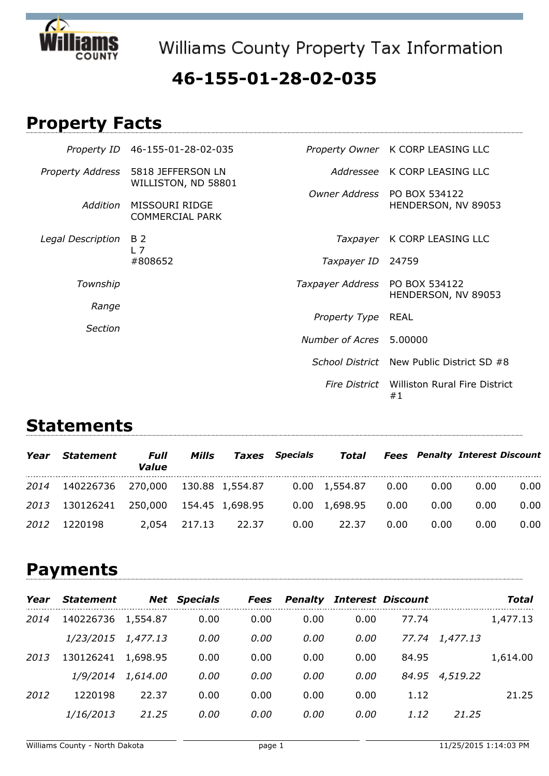

Williams County Property Tax Information

### **46-155-01-28-02-035**

## **Property Facts**

|                         | Property ID 46-155-01-28-02-035          |                  | Property Owner K CORP LEASING LLC                  |
|-------------------------|------------------------------------------|------------------|----------------------------------------------------|
| <b>Property Address</b> | 5818 JEFFERSON LN<br>WILLISTON, ND 58801 |                  | Addressee K CORP LEASING LLC                       |
| Addition                | MISSOURI RIDGE<br><b>COMMERCIAL PARK</b> |                  | Owner Address PO BOX 534122<br>HENDERSON, NV 89053 |
| Legal Description       | B 2<br>$L$ 7                             |                  | Taxpayer K CORP LEASING LLC                        |
|                         | #808652                                  | Taxpayer ID      | 24759                                              |
| Township                |                                          | Taxpayer Address | PO BOX 534122<br>HENDERSON, NV 89053               |
| Range                   |                                          | Property Type    | REAL                                               |
| Section                 |                                          | Number of Acres  | 5.00000                                            |
|                         |                                          |                  | School District New Public District SD #8          |
|                         |                                          |                  | Fire District Williston Rural Fire District<br>#1  |

#### **Statements**

| Year | <b>Statement</b>                       | Full<br>Value | Mills  |       | <b>Taxes</b> Specials | Total                             |      |      | <b>Fees</b> Penalty Interest Discount |      |
|------|----------------------------------------|---------------|--------|-------|-----------------------|-----------------------------------|------|------|---------------------------------------|------|
| 2014 | 140226736 270,000 130.88 1,554.87      |               |        |       |                       | $0.00 \quad 1,554.87 \qquad 0.00$ |      | 0.00 | 0.00                                  | 0.00 |
|      | 2013 130126241 250,000 154.45 1,698.95 |               |        |       |                       | 0.00 1,698.95                     | 0.00 | 0.00 | 0.00                                  | 0.00 |
| 2012 | 1220198                                | 2.054         | 217.13 | 22.37 | 0.00                  | 22.37                             | 0.00 | 0.00 | 0.00                                  | 0.00 |

## **Payments**

| Year | <b>Statement</b> |          | <b>Net Specials</b> | <b>Fees</b> | <b>Penalty</b> |      | <b>Interest Discount</b> |          | Total    |
|------|------------------|----------|---------------------|-------------|----------------|------|--------------------------|----------|----------|
| 2014 | 140226736        | 1,554.87 | 0.00                | 0.00        | 0.00           | 0.00 | 77.74                    |          | 1,477.13 |
|      | <i>1/23/2015</i> | 1,477.13 | 0.00                | 0.00        | 0.00           | 0.00 | 77.74                    | 1,477.13 |          |
| 2013 | 130126241        | 1,698.95 | 0.00                | 0.00        | 0.00           | 0.00 | 84.95                    |          | 1,614.00 |
|      | 1/9/2014         | 1,614.00 | 0.00                | 0.00        | 0.00           | 0.00 | 84.95                    | 4,519.22 |          |
| 2012 | 1220198          | 22.37    | 0.00                | 0.00        | 0.00           | 0.00 | 1.12                     |          | 21.25    |
|      | 1/16/2013        | 21.25    | 0.00                | 0.00        | 0.00           | 0.00 | 1.12                     | 21.25    |          |